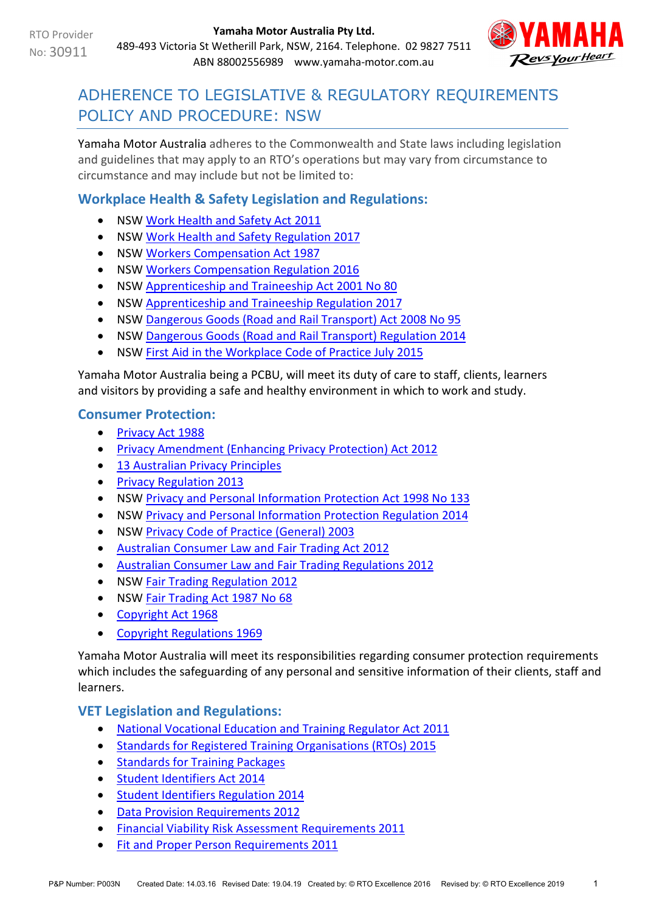

# ADHERENCE TO LEGISLATIVE & REGULATORY REQUIREMENTS POLICY AND PROCEDURE: NSW

Yamaha Motor Australia adheres to the Commonwealth and State laws including legislation and guidelines that may apply to an RTO's operations but may vary from circumstance to circumstance and may include but not be limited to:

# **Workplace Health & Safety Legislation and Regulations:**

- NSW [Work Health and Safety Act 2011](http://www.legislation.nsw.gov.au/maintop/view/inforce/act+10+2011+cd+0+N)
- NSW Work Health [and Safety Regulation 2017](https://www.legislation.nsw.gov.au/#/view/regulation/2017/404)
- NSW [Workers Compensation Act 1987](http://www.legislation.nsw.gov.au/maintop/view/inforce/act+70+1987+cd+0+N/)
- NSW [Workers Compensation Regulation 2016](http://www.legislation.nsw.gov.au/#/view/regulation/2016/559/full)
- NSW Apprenticeship [and Traineeship Act 2001 No 80](http://www.legislation.nsw.gov.au/maintop/view/inforce/act+80+2001+cd+0+N)
- NSW Apprenticeship [and Traineeship Regulation 2017](https://www.legislation.nsw.gov.au/#/view/regulation/2017/229)
- NSW [Dangerous Goods \(Road and Rail Transport\) Act 2008 No 95](http://www.legislation.nsw.gov.au/maintop/view/inforce/act+95+2008+cd+0+N)
- NSW [Dangerous Goods \(Road and Rail Transport\) Regulation 2014](http://www.legislation.nsw.gov.au/maintop/view/inforce/subordleg+398+2014+cd+0+N)
- NSW [First Aid in the Workplace Code of Practice July 2015](http://www.safework.nsw.gov.au/__data/assets/pdf_file/0015/52152/First-aid-in-the-workplace-Code-of-practice-July-2015.pdf)

Yamaha Motor Australia being a PCBU, will meet its duty of care to staff, clients, learners and visitors by providing a safe and healthy environment in which to work and study.

#### **Consumer Protection:**

- [Privacy Act 1988](https://www.legislation.gov.au/Series/C2004A03712)
- [Privacy Amendment \(Enhancing Privacy Protection\) Act 2012](https://www.legislation.gov.au/Details/C2015C00053)
- [13 Australian Privacy Principles](http://www.oaic.gov.au/individuals/privacy-fact-sheets/general/privacy-fact-sheet-17-australian-privacy-principles)
- [Privacy Regulation 2013](https://www.legislation.gov.au/Details/F2019C00361)
- NSW [Privacy and Personal Information Protection Act 1998 No 133](http://www.legislation.nsw.gov.au/#/view/act/1998/133)
- NSW [Privacy and Personal Information Protection Regulation 2014](http://www.legislation.nsw.gov.au/#/view/regulation/2014/549?autoquery=undefined)
- NSW [Privacy Code of Practice \(General\) 2003](http://www.legislation.nsw.gov.au/#/view/regulation/2003/273)
- [Australian Consumer Law and Fair Trading Act 2012](http://www.legislation.vic.gov.au/Domino/Web_Notes/LDMS/PubStatbook.nsf/f932b66241ecf1b7ca256e92000e23be/a7a06c0b33b7f723ca2579f80018c9f2/$FILE/12-021abookmarked.pdf)
- [Australian Consumer Law and Fair Trading Regulations 2012](http://www.austlii.edu.au/au/legis/vic/consol_reg/aclaftr2012481/notes.html)
- NSW [Fair Trading Regulation 2012](http://www.legislation.nsw.gov.au/maintop/view/inforce/subordleg+427+2012+cd+0+N)
- NSW [Fair Trading Act 1987 No 68](http://www.legislation.nsw.gov.au/maintop/view/inforce/act+68+1987+cd+0+N)
- [Copyright Act 1968](https://www.legislation.gov.au/Details/C2019C00042)
- [Copyright Regulations 1969](https://www.legislation.gov.au/Details/F2019C00032)

Yamaha Motor Australia will meet its responsibilities regarding consumer protection requirements which includes the safeguarding of any personal and sensitive information of their clients, staff and learners.

# **VET Legislation and Regulations:**

- [National Vocational Education and Training Regulator Act 2011](https://www.legislation.gov.au/Details/C2017C00245)
- [Standards for Registered Training Organisations \(RTOs\) 2015](https://www.legislation.gov.au/Details/F2017C00663)
- [Standards for Training Packages](https://docs.education.gov.au/system/files/doc/other/standardsfortrainingpackages.pdf)
- [Student Identifiers Act 2014](https://www.legislation.gov.au/Details/C2017C00038)
- [Student Identifiers Regulation 2014](http://www.comlaw.gov.au/Details/F2014L01204)
- [Data Provision Requirements 2012](http://www.comlaw.gov.au/Details/F2013C00497)
- [Financial Viability Risk Assessment Requirements 2011](https://www.legislation.gov.au/Series/F2011L01405)
- [Fit and Proper Person Requirements 2011](https://www.legislation.gov.au/Series/F2011L01341)